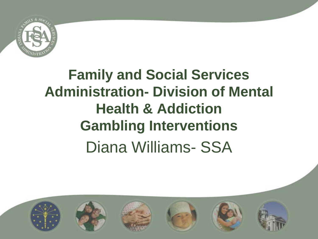

## **Family and Social Services Administration- Division of Mental Health & Addiction Gambling Interventions**  Diana Williams- SSA

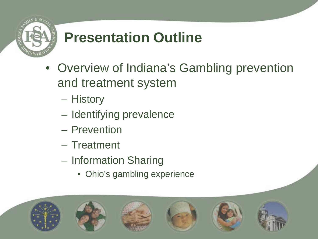

## **Presentation Outline**

- Overview of Indiana's Gambling prevention and treatment system
	- History
	- Identifying prevalence
	- Prevention
	- Treatment
	- Information Sharing
		- Ohio's gambling experience

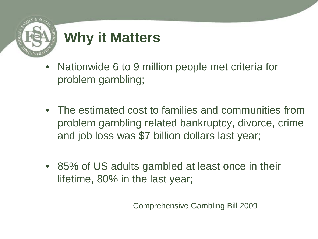

## **Why it Matters**

- Nationwide 6 to 9 million people met criteria for problem gambling;
- The estimated cost to families and communities from problem gambling related bankruptcy, divorce, crime and job loss was \$7 billion dollars last year;
- 85% of US adults gambled at least once in their lifetime, 80% in the last year;

Comprehensive Gambling Bill 2009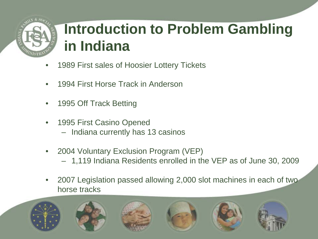

## **Introduction to Problem Gambling in Indiana**

- 1989 First sales of Hoosier Lottery Tickets
- 1994 First Horse Track in Anderson
- 1995 Off Track Betting
- 1995 First Casino Opened
	- Indiana currently has 13 casinos
- 2004 Voluntary Exclusion Program (VEP)
	- 1,119 Indiana Residents enrolled in the VEP as of June 30, 2009
- 2007 Legislation passed allowing 2,000 slot machines in each of two horse tracks

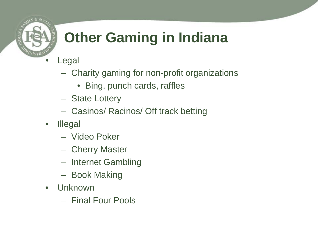

# **Other Gaming in Indiana**

- **Legal** 
	- Charity gaming for non-profit organizations
		- Bing, punch cards, raffles
	- State Lottery
	- Casinos/ Racinos/ Off track betting
- Illegal
	- Video Poker
	- Cherry Master
	- Internet Gambling
	- Book Making
- Unknown
	- Final Four Pools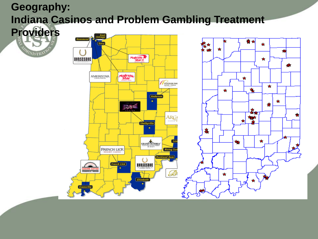### **Geography: Indiana Casinos and Problem Gambling Treatment**

**Providers**WISTR!

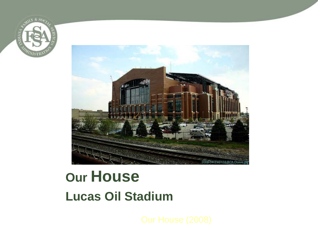



## **Our House Lucas Oil Stadium**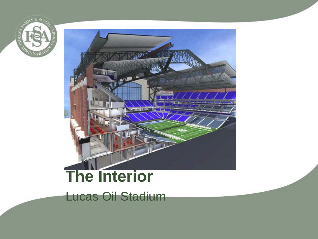



# **The Interior**

Lucas Oil Stadium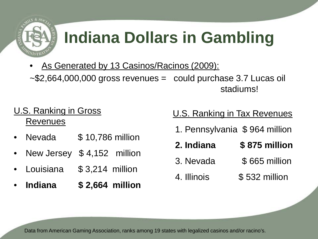

# **Indiana Dollars in Gambling**

As Generated by 13 Casinos/Racinos (2009):  $-$ \$2,664,000,000 gross revenues = could purchase 3.7 Lucas oil

U.S. Ranking in Gross Revenues

- Nevada \$10,786 million
- New Jersey \$4,152 million
- Louisiana \$ 3,214 million
- **Indiana \$ 2,664 million**

#### U.S. Ranking in Tax Revenues

stadiums!

- 1. Pennsylvania \$ 964 million
- **2. Indiana \$ 875 million**
- 3. Nevada \$ 665 million
- 4. Illinois \$ 532 million

Data from American Gaming Association, ranks among 19 states with legalized casinos and/or racino's.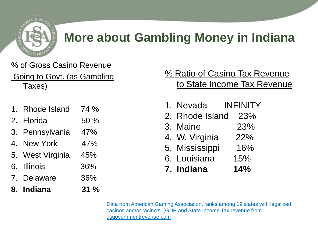

### **More about Gambling Money in Indiana**

#### % of Gross Casino Revenue

Going to Govt. (as Gambling Taxes)

- Rhode Island 74 % 2. Florida 50 %
- 3. Pennsylvania 47%
- 4. New York 47%
- 5. West Virginia 45%
- 6. Illinois 36%
- 7. Delaware 36%
- **8. Indiana 31 %**

#### % Ratio of Casino Tax Revenue to State Income Tax Revenue

- 1. Nevada INFINITY
- 2. Rhode Island 23%
- 3. Maine 23%
- 4. W. Virginia 22%
- 5. Mississippi 16%
- 6. Louisiana 15%
- **7. Indiana 14%**

Data from American Gaming Association, ranks among 19 states with legalized casinos and/or racino's. (GDP and State Income Tax revenue from usgovernmentrevenue.com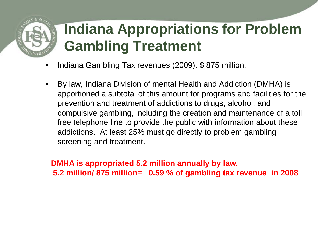## **Indiana Appropriations for Problem Gambling Treatment**

- Indiana Gambling Tax revenues (2009): \$ 875 million.
- By law, Indiana Division of mental Health and Addiction (DMHA) is apportioned a subtotal of this amount for programs and facilities for the prevention and treatment of addictions to drugs, alcohol, and compulsive gambling, including the creation and maintenance of a toll free telephone line to provide the public with information about these addictions. At least 25% must go directly to problem gambling screening and treatment.

**DMHA is appropriated 5.2 million annually by law. 5.2 million/ 875 million= 0.59 % of gambling tax revenue in 2008**